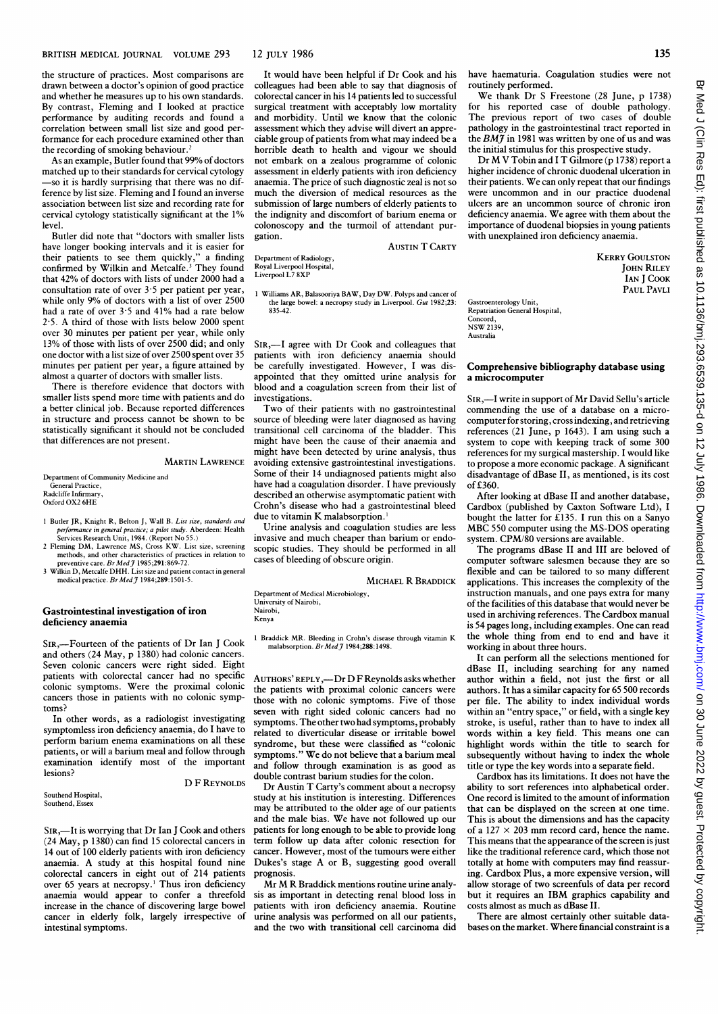the structure of practices. Most comparisons are drawn between a doctor's opinion of good practice and whether he measures up to his own standards. By contrast, Fleming and <sup>I</sup> looked at practice performance by auditing records and found a correlation between small list size and good performance for each procedure examined other than the recording of smoking behaviour.<sup>2</sup>

As an example, Butler found that 99% of doctors matched up to their standards for cervical cytology -so it is hardly surprising that there was no difference by list size. Fleming and <sup>I</sup> found an inverse association between list size and recording rate for cervical cytology statistically significant at the 1% level.

Butler did note that "doctors with smaller lists have longer booking intervals and it is easier for their patients to see them quickly," a finding confirmed by Wilkin and Metcalfe.<sup>3</sup> They found that 42% of doctors with lists of under 2000 had a consultation rate of over  $3.5$  per patient per year, while only 9% of doctors with a list of over 2500 had a rate of over 3.5 and 41% had a rate below 2-5. A third of those with lists below 2000 spent over 30 minutes per patient per year, while only 13% of those with lists of over 2500 did; and only one doctor with a list size of over 2500 spent over 35 minutes per patient per year, a figure attained by almost a quarter of doctors with smaller lists.

There is therefore evidence that doctors with smaller lists spend more time with patients and do a better clinical job. Because reported differences in structure and process cannot be shown to be statistically significant it should not be concluded that differences are not present.

MARTIN LAWRENCE

Department of Community Medicine and General Practice, Radcliffe Infirmary, Oxford OX2 6HE

- 1 Butler JR, Knight R, Belton J, Wall B. List size, standards an performance in general practice; a pilot study. Aberdeen: Health<br>Services Research Unit, 1984. (Report No 55.)
- <sup>2</sup> Fleming DM, Lawrence MS, Cross KW. List size, screening methods, and other characteristics of practices in relation to preventive care. Br Med  $7$  1985;291:869-72.
- <sup>3</sup> Wilkin D, Metcalfe DHH. List size and patient contact in general medical practice. Br Med 7 1984;289:1501-5.

#### Gastrointestinal investigation of iron deficiency anaemia

SIR,-Fourteen of the patients of Dr Ian <sup>J</sup> Cook and others (24 May, p 1380) had colonic cancers. Seven colonic cancers were right sided. Eight patients with colorectal cancer had no specific colonic symptoms. Were the proximal colonic cancers those in patients with no colonic symptoms?

In other words, as a radiologist investigating symptomless iron deficiency anaemia, do <sup>I</sup> have to perform barium enema examinations on all these patients, or will a barium meal and follow through examination identify most of the important lesions?

D F REYNOLDS

Southend Hospital, Southend, Essex

SIR,-It is worrying that Dr Ian J Cook and others (24 May, p 1380) can find 15 colorectal cancers in 14 out of 100 elderly patients with iron deficiency anaemia. A study at this hospital found nine colorectal cancers in eight out of 214 patients over 65 years at necropsy.' Thus iron deficiency anaemia would appear to confer a threefold increase in the chance of discovering large bowel cancer in elderly folk, largely irrespective of intestinal symptoms.

It would have been helpful if Dr Cook and his colleagues had been able to say that diagnosis of colorectal cancer in his 14 patients led to successful surgical treatment with acceptably low mortality and morbidity. Until we know that the colonic assessment which they advise will divert an appreciable group of patients from what may indeed be a horrible death to health and vigour we should not embark on a zealous programme of colonic assessment in elderly patients with iron deficiency anaemia. The price of such diagnostic zeal is not so much the diversion of medical resources as the submission of large numbers of elderly patients to the indignity and discomfort of barium enema or colonoscopy and the turmoil of attendant purgation.

**AUSTIN T CARTY** 

Department of Radiology, Royal Liverpool Hospital, Liverpool L7 8XP

Williams AR, Balasooriya BAW, Day DW. Polyps and cancer of the large bowel: a necropsy study in Liverpool. Gut 1982;23: 83542.

SIR,-I agree with Dr Cook and colleagues that patients with iron deficiency anaemia should be carefully investigated. However, <sup>I</sup> was disappointed that they omitted urine analysis for blood and a coagulation screen from their list of investigations.

Two of their patients with no gastrointestinal source of bleeding were later diagnosed as having transitional cell carcinoma of the bladder. This might have been the cause of their anaemia and might have been detected by urine analysis, thus avoiding extensive gastrointestinal investigations. Some of their 14 undiagnosed patients might also have had a coagulation disorder. <sup>I</sup> have previously described an otherwise asymptomatic patient with Crohn's disease who had a gastrointestinal bleed due to vitamin K malabsorption. '

Urine analysis and coagulation studies are less invasive and much cheaper than barium or endoscopic studies. They should be performed in all cases of bleeding of obscure origin.

MICHAEL R BRADDICK

Department of Medical Microbiology, University of Nairobi, Nairobi, Kenya

1 Braddick MR. Bleeding in Crohn's disease through vitamin K malabsorption. Br Med J 1984;288:1498.

AUTHORS' REPLY,-Dr DF Reynolds asks whether the patients with proximal colonic cancers were those with no colonic symptoms. Five of those seven with right sided colonic cancers had no symptoms. The other two had symptoms, probably related to diverticular disease or irritable bowel syndrome, but these were classified as "colonic symptoms." We do not believe that <sup>a</sup> barium meal and follow through examination is as good as double contrast barium studies for the colon.

Dr Austin T Carty's comment about <sup>a</sup> necropsy study at his institution is interesting. Differences may be attributed to the older age of our patients and the male bias. We have not followed up our patients for long enough to be able to provide long term follow up data after colonic resection for cancer. However, most of the tumours were either Dukes's stage A or B, suggesting good overall prognosis.

Mr MR Braddick mentions routine urine analysis as important in detecting renal blood loss in patients with iron deficiency anaemia. Routine urine analysis was performed on all our patients, and the two with transitional cell carcinoma did

have haematuria. Coagulation studies were not routinely performed.

We thank Dr S Freestone (28 June, p 1738) for his reported case of double pathology. The previous report of two cases of double pathology in the gastrointestinal tract reported in the  $BM\widetilde{J}$  in 1981 was written by one of us and was the initial stimulus for this prospective study.

Dr MV Tobin and <sup>I</sup> T Gilmore (p 1738) report <sup>a</sup> higher incidence of chronic duodenal ulceration in their patients. We can only repeat that our findings were uncommon and in our practice duodenal ulcers are an uncommon source of chronic iron deficiency anaemia. We agree with them about the importance of duodenal biopsies in young patients with unexplained iron deficiency anaemia.

> KERRY GOULSTON JOHN RILEY IAN <sup>J</sup> COOK PAUL PAVLI

Gastroenterology Unit, Repatriation General Hospital, Concord, NSW 2139, Australia

## Comprehensive bibliography database using a microcomputer

SIR,-I write in support of Mr David Sellu's article commending the use of a database on a microcomputerfor storing, crossindexing, and retrieving references (21 June, p 1643). <sup>I</sup> am using such <sup>a</sup> system to cope with keeping track of some 300 references for my surgical mastership. <sup>I</sup> would like to propose <sup>a</sup> more economic package. A significant disadvantage of dBase II, as mentioned, is its cost of £360.

After looking at dBase II and another database, Cardbox (published by Caxton Software Ltd), <sup>I</sup> bought the latter for £135. <sup>I</sup> run this on a Sanyo MBC <sup>550</sup> computer using the MS-DOS operating system. CPM/80 versions are available.

The programs dBase II and III are beloved of computer software salesmen because they are so flexible and can be tailored to so many different applications. This increases the complexity of the instruction manuals, and one pays extra for many of the facilities of this database that would never be used in archiving references. The Cardbox manual is 54 pages long, including examples. One can read the whole thing from end to end and have it working in about three hours.

It can perform all the selections mentioned for dBase II, including searching for any named author within a field, not just the first or all authors. It has a similar capacity for 65 500 records per file. The ability to index individual words within an "entry space," or field, with a single key stroke, is useful, rather than to have to index all words within a key field. This means one can highlight words within the title to search for subsequently without having to index the whole title or type the key words into a separate field.

Cardbox has its limitations. It does not have the ability to sort references into alphabetical order. One record is limited to the amount of information that can be displayed on the screen at one time. This is about the dimensions and has the capacity of a  $127 \times 203$  mm record card, hence the name. This means that the appearance of the screen is just like the traditional reference card, which those not totally at home with computers may find reassuring. Cardbox Plus, a more expensive version, will allow storage of two screenfuls of data per record but it requires an IBM graphics capability and costs almost as much as dBase II.

There are almost certainly other suitable databases on themarket. Where financial constraint is a